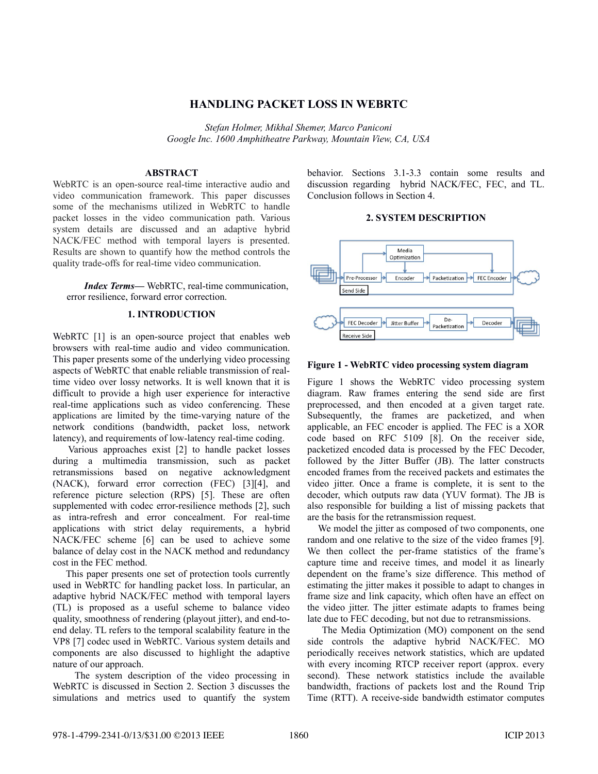# **HANDLING PACKET LOSS IN WEBRTC**

*Stefan Holmer, Mikhal Shemer, Marco Paniconi Google Inc. 1600 Amphitheatre Parkway, Mountain View, CA, USA*

### **ABSTRACT**

WebRTC is an open-source real-time interactive audio and video communication framework. This paper discusses some of the mechanisms utilized in WebRTC to handle packet losses in the video communication path. Various system details are discussed and an adaptive hybrid NACK/FEC method with temporal layers is presented. Results are shown to quantify how the method controls the quality trade-offs for real-time video communication.

*Index Terms—* WebRTC, real-time communication, error resilience, forward error correction.

# **1. INTRODUCTION**

WebRTC [1] is an open-source project that enables web browsers with real-time audio and video communication. This paper presents some of the underlying video processing aspects of WebRTC that enable reliable transmission of realtime video over lossy networks. It is well known that it is difficult to provide a high user experience for interactive real-time applications such as video conferencing. These applications are limited by the time-varying nature of the network conditions (bandwidth, packet loss, network latency), and requirements of low-latency real-time coding.

 Various approaches exist [2] to handle packet losses during a multimedia transmission, such as packet retransmissions based on negative acknowledgment (NACK), forward error correction (FEC) [3][4], and reference picture selection (RPS) [5]. These are often supplemented with codec error-resilience methods [2], such as intra-refresh and error concealment. For real-time applications with strict delay requirements, a hybrid NACK/FEC scheme [6] can be used to achieve some balance of delay cost in the NACK method and redundancy cost in the FEC method.

 This paper presents one set of protection tools currently used in WebRTC for handling packet loss. In particular, an adaptive hybrid NACK/FEC method with temporal layers (TL) is proposed as a useful scheme to balance video quality, smoothness of rendering (playout jitter), and end-toend delay. TL refers to the temporal scalability feature in the VP8 [7] codec used in WebRTC. Various system details and components are also discussed to highlight the adaptive nature of our approach.

 The system description of the video processing in WebRTC is discussed in Section 2. Section 3 discusses the simulations and metrics used to quantify the system behavior. Sections 3.1-3.3 contain some results and discussion regarding hybrid NACK/FEC, FEC, and TL. Conclusion follows in Section 4.

# **2. SYSTEM DESCRIPTION**



# **Figure 1 - WebRTC video processing system diagram**

Figure 1 shows the WebRTC video processing system diagram. Raw frames entering the send side are first preprocessed, and then encoded at a given target rate. Subsequently, the frames are packetized, and when applicable, an FEC encoder is applied. The FEC is a XOR code based on RFC 5109 [8]. On the receiver side, packetized encoded data is processed by the FEC Decoder, followed by the Jitter Buffer (JB). The latter constructs encoded frames from the received packets and estimates the video jitter. Once a frame is complete, it is sent to the decoder, which outputs raw data (YUV format). The JB is also responsible for building a list of missing packets that are the basis for the retransmission request.

We model the jitter as composed of two components, one random and one relative to the size of the video frames [9]. We then collect the per-frame statistics of the frame's capture time and receive times, and model it as linearly dependent on the frame's size difference. This method of estimating the jitter makes it possible to adapt to changes in frame size and link capacity, which often have an effect on the video jitter. The jitter estimate adapts to frames being late due to FEC decoding, but not due to retransmissions.

 The Media Optimization (MO) component on the send side controls the adaptive hybrid NACK/FEC. MO periodically receives network statistics, which are updated with every incoming RTCP receiver report (approx. every second). These network statistics include the available bandwidth, fractions of packets lost and the Round Trip Time (RTT). A receive-side bandwidth estimator computes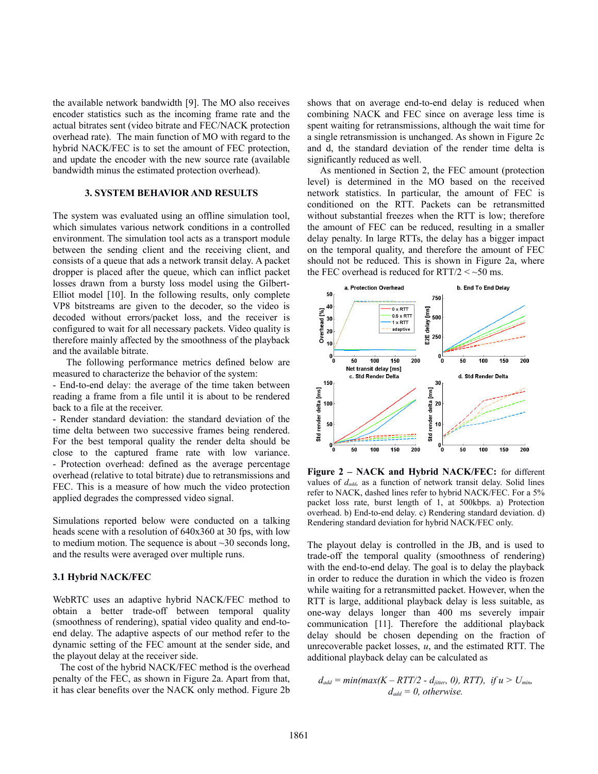the available network bandwidth [9]. The MO also receives encoder statistics such as the incoming frame rate and the actual bitrates sent (video bitrate and FEC/NACK protection overhead rate). The main function of MO with regard to the hybrid NACK/FEC is to set the amount of FEC protection, and update the encoder with the new source rate (available bandwidth minus the estimated protection overhead).

### **3. SYSTEM BEHAVIOR AND RESULTS**

The system was evaluated using an offline simulation tool, which simulates various network conditions in a controlled environment. The simulation tool acts as a transport module between the sending client and the receiving client, and consists of a queue that ads a network transit delay. A packet dropper is placed after the queue, which can inflict packet losses drawn from a bursty loss model using the Gilbert-Elliot model [10]. In the following results, only complete VP8 bitstreams are given to the decoder, so the video is decoded without errors/packet loss, and the receiver is configured to wait for all necessary packets. Video quality is therefore mainly affected by the smoothness of the playback and the available bitrate.

 The following performance metrics defined below are measured to characterize the behavior of the system:

- End-to-end delay: the average of the time taken between reading a frame from a file until it is about to be rendered back to a file at the receiver.

- Render standard deviation: the standard deviation of the time delta between two successive frames being rendered. For the best temporal quality the render delta should be close to the captured frame rate with low variance. - Protection overhead: defined as the average percentage overhead (relative to total bitrate) due to retransmissions and FEC. This is a measure of how much the video protection applied degrades the compressed video signal.

Simulations reported below were conducted on a talking heads scene with a resolution of 640x360 at 30 fps, with low to medium motion. The sequence is about ~30 seconds long, and the results were averaged over multiple runs.

#### **3.1 Hybrid NACK/FEC**

WebRTC uses an adaptive hybrid NACK/FEC method to obtain a better trade-off between temporal quality (smoothness of rendering), spatial video quality and end-toend delay. The adaptive aspects of our method refer to the dynamic setting of the FEC amount at the sender side, and the playout delay at the receiver side.

 The cost of the hybrid NACK/FEC method is the overhead penalty of the FEC, as shown in Figure 2a. Apart from that, it has clear benefits over the NACK only method. Figure 2b shows that on average end-to-end delay is reduced when combining NACK and FEC since on average less time is spent waiting for retransmissions, although the wait time for a single retransmission is unchanged. As shown in Figure 2c and d, the standard deviation of the render time delta is significantly reduced as well.

 As mentioned in Section 2, the FEC amount (protection level) is determined in the MO based on the received network statistics. In particular, the amount of FEC is conditioned on the RTT. Packets can be retransmitted without substantial freezes when the RTT is low; therefore the amount of FEC can be reduced, resulting in a smaller delay penalty. In large RTTs, the delay has a bigger impact on the temporal quality, and therefore the amount of FEC should not be reduced. This is shown in Figure 2a, where the FEC overhead is reduced for  $RTT/2 <$  ~50 ms.



**Figure 2 – NACK and Hybrid NACK/FEC:** for different values of  $d_{add}$ , as a function of network transit delay. Solid lines refer to NACK, dashed lines refer to hybrid NACK/FEC. For a 5% packet loss rate, burst length of 1, at 500kbps. a) Protection overhead. b) End-to-end delay. c) Rendering standard deviation. d) Rendering standard deviation for hybrid NACK/FEC only.

The playout delay is controlled in the JB, and is used to trade-off the temporal quality (smoothness of rendering) with the end-to-end delay. The goal is to delay the playback in order to reduce the duration in which the video is frozen while waiting for a retransmitted packet. However, when the RTT is large, additional playback delay is less suitable, as one-way delays longer than 400 ms severely impair communication [11]. Therefore the additional playback delay should be chosen depending on the fraction of unrecoverable packet losses, *u*, and the estimated RTT. The additional playback delay can be calculated as

$$
d_{add} = min(max(K - RTT/2 - d_{jitter}, 0), RTT), if u > U_{min},
$$
  

$$
d_{add} = 0, otherwise.
$$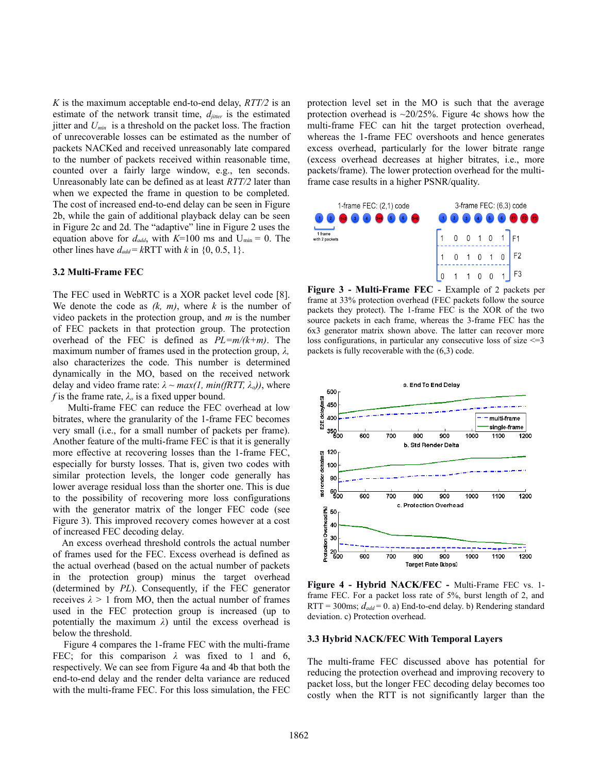*K* is the maximum acceptable end-to-end delay, *RTT/2* is an estimate of the network transit time, *djitter* is the estimated jitter and *Umin* is a threshold on the packet loss. The fraction of unrecoverable losses can be estimated as the number of packets NACKed and received unreasonably late compared to the number of packets received within reasonable time, counted over a fairly large window, e.g., ten seconds. Unreasonably late can be defined as at least *RTT/2* later than when we expected the frame in question to be completed. The cost of increased end-to-end delay can be seen in Figure 2b, while the gain of additional playback delay can be seen in Figure 2c and 2d. The "adaptive" line in Figure 2 uses the equation above for  $d_{add}$ , with  $K=100$  ms and  $U_{min} = 0$ . The other lines have  $d_{add} = kRTT$  with *k* in {0, 0.5, 1}.

### **3.2 Multi-Frame FEC**

The FEC used in WebRTC is a XOR packet level code [8]. We denote the code as *(k, m)*, where *k* is the number of video packets in the protection group, and *m* is the number of FEC packets in that protection group. The protection overhead of the FEC is defined as *PL=m/(k+m)*. The maximum number of frames used in the protection group, *λ,* also characterizes the code. This number is determined dynamically in the MO, based on the received network delay and video frame rate:  $\lambda \sim max(1, min(fRTT, \lambda_o))$ , where *f* is the frame rate,  $\lambda_o$  is a fixed upper bound.

 Multi-frame FEC can reduce the FEC overhead at low bitrates, where the granularity of the 1-frame FEC becomes very small (i.e., for a small number of packets per frame). Another feature of the multi-frame FEC is that it is generally more effective at recovering losses than the 1-frame FEC, especially for bursty losses. That is, given two codes with similar protection levels, the longer code generally has lower average residual loss than the shorter one. This is due to the possibility of recovering more loss configurations with the generator matrix of the longer FEC code (see Figure 3). This improved recovery comes however at a cost of increased FEC decoding delay.

 An excess overhead threshold controls the actual number of frames used for the FEC. Excess overhead is defined as the actual overhead (based on the actual number of packets in the protection group) minus the target overhead (determined by *PL*). Consequently, if the FEC generator receives  $\lambda > 1$  from MO, then the actual number of frames used in the FEC protection group is increased (up to potentially the maximum *λ*) until the excess overhead is below the threshold.

 Figure 4 compares the 1-frame FEC with the multi-frame FEC; for this comparison *λ* was fixed to 1 and 6, respectively. We can see from Figure 4a and 4b that both the end-to-end delay and the render delta variance are reduced with the multi-frame FEC. For this loss simulation, the FEC protection level set in the MO is such that the average protection overhead is  $\approx 20/25\%$ . Figure 4c shows how the multi-frame FEC can hit the target protection overhead, whereas the 1-frame FEC overshoots and hence generates excess overhead, particularly for the lower bitrate range (excess overhead decreases at higher bitrates, i.e., more packets/frame). The lower protection overhead for the multiframe case results in a higher PSNR/quality.



**Figure 3 - Multi-Frame FEC** - Example of 2 packets per frame at 33% protection overhead (FEC packets follow the source packets they protect). The 1-frame FEC is the XOR of the two source packets in each frame, whereas the 3-frame FEC has the 6x3 generator matrix shown above. The latter can recover more loss configurations, in particular any consecutive loss of size <=3 packets is fully recoverable with the (6,3) code.



**Figure 4 - Hybrid NACK/FEC -** Multi-Frame FEC vs. 1 frame FEC. For a packet loss rate of 5%, burst length of 2, and RTT = 300ms;  $d_{add}$  = 0. a) End-to-end delay. b) Rendering standard deviation. c) Protection overhead*.*

#### **3.3 Hybrid NACK/FEC With Temporal Layers**

The multi-frame FEC discussed above has potential for reducing the protection overhead and improving recovery to packet loss, but the longer FEC decoding delay becomes too costly when the RTT is not significantly larger than the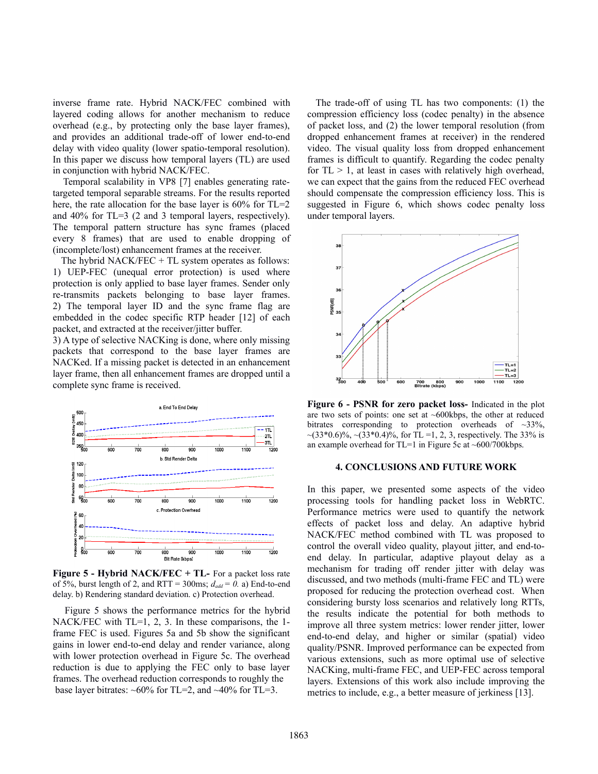inverse frame rate. Hybrid NACK/FEC combined with layered coding allows for another mechanism to reduce overhead (e.g., by protecting only the base layer frames), and provides an additional trade-off of lower end-to-end delay with video quality (lower spatio-temporal resolution). In this paper we discuss how temporal layers (TL) are used in conjunction with hybrid NACK/FEC.

 Temporal scalability in VP8 [7] enables generating ratetargeted temporal separable streams. For the results reported here, the rate allocation for the base layer is 60% for TL=2 and 40% for TL=3 (2 and 3 temporal layers, respectively). The temporal pattern structure has sync frames (placed every 8 frames) that are used to enable dropping of (incomplete/lost) enhancement frames at the receiver.

 The hybrid NACK/FEC + TL system operates as follows: 1) UEP-FEC (unequal error protection) is used where protection is only applied to base layer frames. Sender only re-transmits packets belonging to base layer frames. 2) The temporal layer ID and the sync frame flag are embedded in the codec specific RTP header [12] of each packet, and extracted at the receiver/jitter buffer.

3) A type of selective NACKing is done, where only missing packets that correspond to the base layer frames are NACKed. If a missing packet is detected in an enhancement layer frame, then all enhancement frames are dropped until a complete sync frame is received.



**Figure 5 - Hybrid NACK/FEC + TL-** For a packet loss rate of 5%, burst length of 2, and RTT = 300ms;  $d_{add} = 0$ . a) End-to-end delay. b) Rendering standard deviation. c) Protection overhead.

 Figure 5 shows the performance metrics for the hybrid NACK/FEC with TL=1, 2, 3. In these comparisons, the 1frame FEC is used. Figures 5a and 5b show the significant gains in lower end-to-end delay and render variance, along with lower protection overhead in Figure 5c. The overhead reduction is due to applying the FEC only to base layer frames. The overhead reduction corresponds to roughly the base layer bitrates:  $\sim 60\%$  for TL=2, and  $\sim 40\%$  for TL=3.

 The trade-off of using TL has two components: (1) the compression efficiency loss (codec penalty) in the absence of packet loss, and (2) the lower temporal resolution (from dropped enhancement frames at receiver) in the rendered video. The visual quality loss from dropped enhancement frames is difficult to quantify. Regarding the codec penalty for  $TL > 1$ , at least in cases with relatively high overhead, we can expect that the gains from the reduced FEC overhead should compensate the compression efficiency loss. This is suggested in Figure 6, which shows codec penalty loss under temporal layers.



**Figure 6 - PSNR for zero packet loss-** Indicated in the plot are two sets of points: one set at ~600kbps, the other at reduced bitrates corresponding to protection overheads of ~33%,  $\sim$ (33\*0.6)%,  $\sim$ (33\*0.4)%, for TL =1, 2, 3, respectively. The 33% is an example overhead for TL=1 in Figure 5c at ~600/700kbps.

### **4. CONCLUSIONS AND FUTURE WORK**

In this paper, we presented some aspects of the video processing tools for handling packet loss in WebRTC. Performance metrics were used to quantify the network effects of packet loss and delay. An adaptive hybrid NACK/FEC method combined with TL was proposed to control the overall video quality, playout jitter, and end-toend delay. In particular, adaptive playout delay as a mechanism for trading off render jitter with delay was discussed, and two methods (multi-frame FEC and TL) were proposed for reducing the protection overhead cost. When considering bursty loss scenarios and relatively long RTTs, the results indicate the potential for both methods to improve all three system metrics: lower render jitter, lower end-to-end delay, and higher or similar (spatial) video quality/PSNR. Improved performance can be expected from various extensions, such as more optimal use of selective NACKing, multi-frame FEC, and UEP-FEC across temporal layers. Extensions of this work also include improving the metrics to include, e.g., a better measure of jerkiness [13].